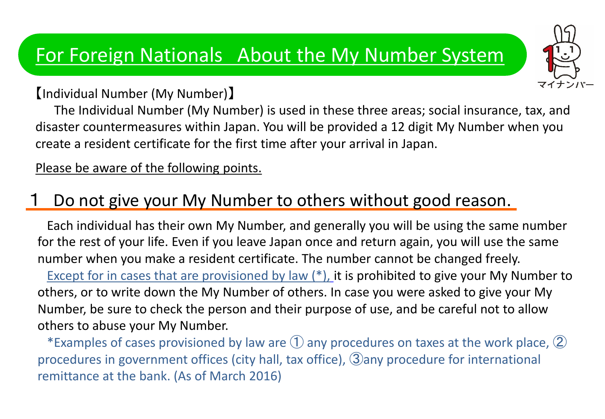【Individual Number (My Number)】

 The Individual Number (My Number) is used in these three areas; social insurance, tax, and disaster countermeasures within Japan. You will be provided a 12 digit My Number when you create a resident certificate for the first time after your arrival in Japan.

Please be aware of the following points.

### Do not give your My Number to others without good reason.

Each individual has their own My Number, and generally you will be using the same number for the rest of your life. Even if you leave Japan once and return again, you will use the same number when you make a resident certificate. The number cannot be changed freely.

Except for in cases that are provisioned by law  $(*)$ , it is prohibited to give your My Number to others, or to write down the My Number of others. In case you were asked to give your My Number, be sure to check the person and their purpose of use, and be careful not to allow others to abuse your My Number.

\*Examples of cases provisioned by law are  $\textcircled{1}$  any procedures on taxes at the work place,  $\textcircled{2}$ procedures in government offices (city hall, tax office), ③any procedure for international remittance at the bank. (As of March 2016)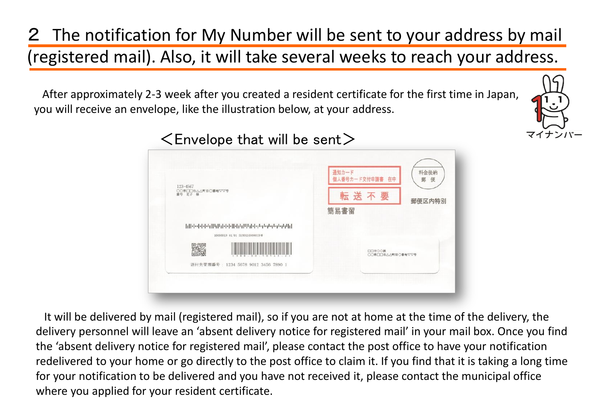### 2 The notification for My Number will be sent to your address by mail (registered mail). Also, it will take several weeks to reach your address.

After approximately 2-3 week after you created a resident certificate for the first time in Japan, you will receive an envelope, like the illustration below, at your address.





 $\leq$  Envelope that will be sent $\geq$ 

It will be delivered by mail (registered mail), so if you are not at home at the time of the delivery, the delivery personnel will leave an 'absent delivery notice for registered mail' in your mail box. Once you find the 'absent delivery notice for registered mail', please contact the post office to have your notification redelivered to your home or go directly to the post office to claim it. If you find that it is taking a long time for your notification to be delivered and you have not received it, please contact the municipal office where you applied for your resident certificate.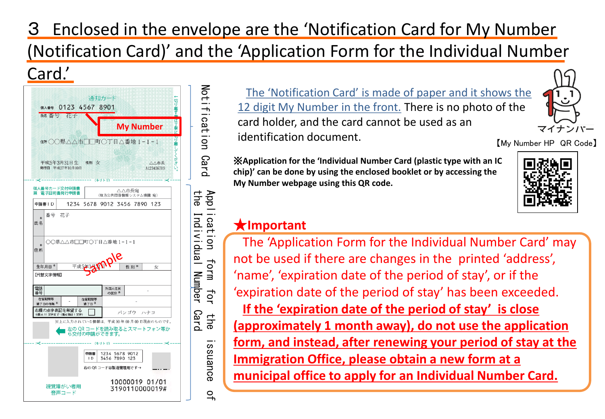### 3 Enclosed in the envelope are the 'Notification Card for My Number (Notification Card)' and the 'Application Form for the Individual Number





The 'Notification Card' is made of paper and it shows the 12 digit My Number in the front. There is no photo of the card holder, and the card cannot be used as an identification document. 【My Number HP QR Code】

※**Application for the 'Individual Number Card (plastic type with an IC chip)' can be done by using the enclosed booklet or by accessing the My Number webpage using this QR code.** 



マイナンバー

#### ★**Important**

Notification

Notification

Card

Application

cat

 $\overline{u}$ 

App

form

for

the

issuance

 $\overline{a}$ 

The 'Application Form for the Individual Number Card' may not be used if there are changes in the printed 'address', 'name', 'expiration date of the period of stay', or if the 'expiration date of the period of stay' has been exceeded. **If the 'expiration date of the period of stay' is close (approximately 1 month away), do not use the application form, and instead, after renewing your period of stay at the Immigration Office, please obtain a new form at a municipal office to apply for an Individual Number Card.**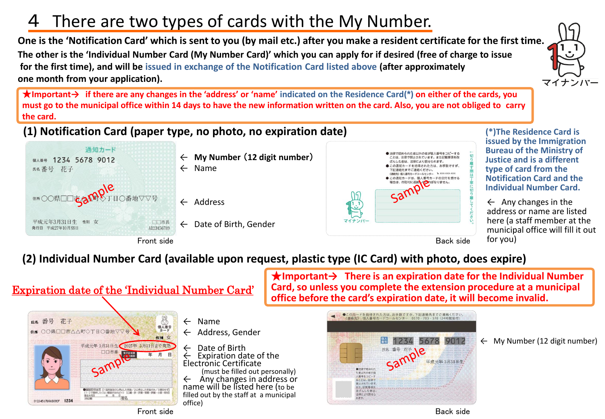### There are two types of cards with the My Number.

**One is the 'Notification Card' which is sent to you (by mail etc.) after you make a resident certificate for the first time. The other is the 'Individual Number Card (My Number Card)' which you can apply for if desired (free of charge to issue for the first time), and will be issued in exchange of the Notification Card listed above (after approximately one month from your application).**

★**Important→ if there are any changes in the 'address' or 'name' indicated on the Residence Card(\*) on either of the cards, you must go to the municipal office within 14 days to have the new information written on the card. Also, you are not obliged to carry the card.**

**(1) Notification Card (paper type, no photo, no expiration date)**



Front side **Back side** Back side



**(\*)The Residence Card is issued by the Immigration Bureau of the Ministry of Justice and is a different type of card from the Notification Card and the Individual Number Card.**

マイナンバー

 $\leftarrow$  Any changes in the address or name are listed here (a staff member at the municipal office will fill it out for you)

#### **(2) Individual Number Card (available upon request, plastic type (IC Card) with photo, does expire)**

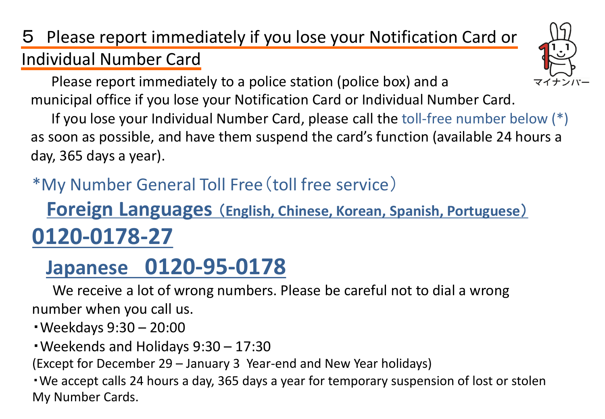## 5 Please report immediately if you lose your Notification Card or Individual Number Card

 Please report immediately to a police station (police box) and a municipal office if you lose your Notification Card or Individual Number Card.

 If you lose your Individual Number Card, please call the toll-free number below (\*) as soon as possible, and have them suspend the card's function (available 24 hours a day, 365 days a year).

## \*My Number General Toll Free(toll free service)

# **Foreign Languages** (**English, Chinese, Korean, Spanish, Portuguese**) **0120-0178-27**

# **Japanese 0120-95-0178**

 We receive a lot of wrong numbers. Please be careful not to dial a wrong number when you call us.

・Weekdays 9:30 – 20:00

・Weekends and Holidays 9:30 – 17:30

(Except for December 29 – January 3 Year-end and New Year holidays)

・We accept calls 24 hours a day, 365 days a year for temporary suspension of lost or stolen My Number Cards.